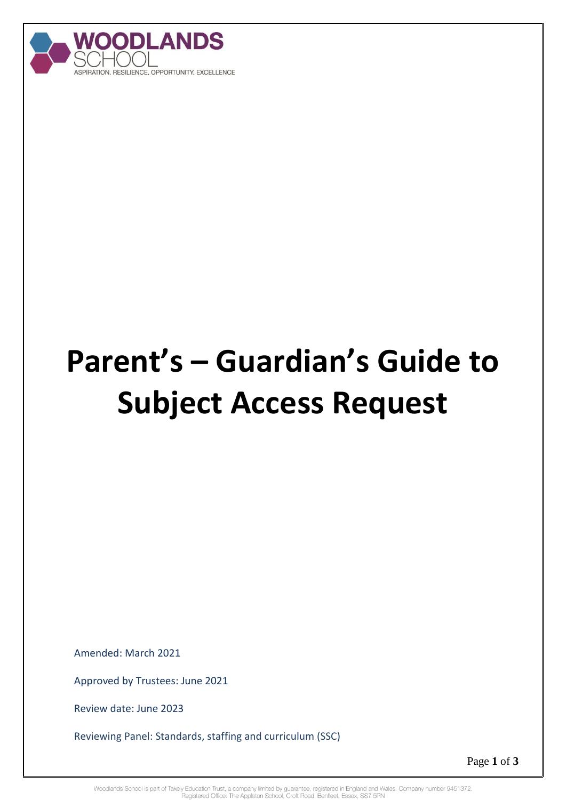

# **Parent's – Guardian's Guide to Subject Access Request**

Amended: March 2021

Approved by Trustees: June 2021

Review date: June 2023

Reviewing Panel: Standards, staffing and curriculum (SSC)

Page **1** of **3**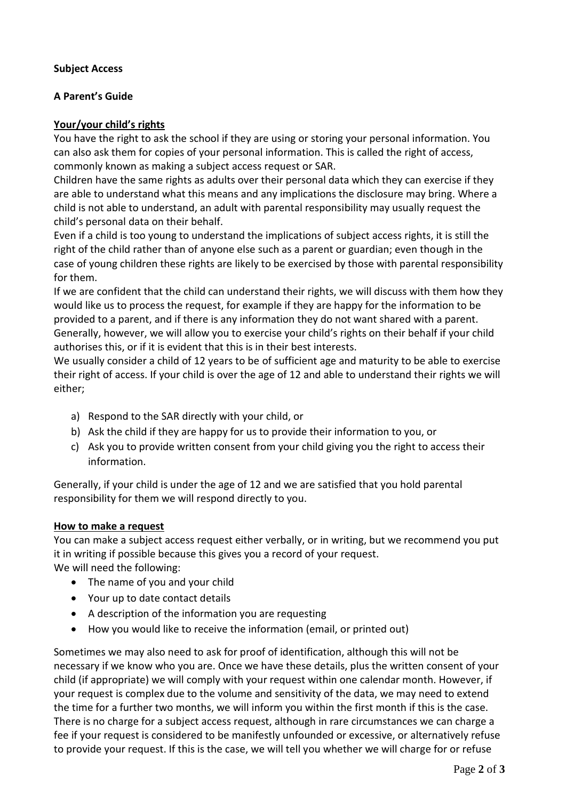## **Subject Access**

### **A Parent's Guide**

### **Your/your child's rights**

You have the right to ask the school if they are using or storing your personal information. You can also ask them for copies of your personal information. This is called the right of access, commonly known as making a subject access request or SAR.

Children have the same rights as adults over their personal data which they can exercise if they are able to understand what this means and any implications the disclosure may bring. Where a child is not able to understand, an adult with parental responsibility may usually request the child's personal data on their behalf.

Even if a child is too young to understand the implications of subject access rights, it is still the right of the child rather than of anyone else such as a parent or guardian; even though in the case of young children these rights are likely to be exercised by those with parental responsibility for them.

If we are confident that the child can understand their rights, we will discuss with them how they would like us to process the request, for example if they are happy for the information to be provided to a parent, and if there is any information they do not want shared with a parent. Generally, however, we will allow you to exercise your child's rights on their behalf if your child authorises this, or if it is evident that this is in their best interests.

We usually consider a child of 12 years to be of sufficient age and maturity to be able to exercise their right of access. If your child is over the age of 12 and able to understand their rights we will either;

- a) Respond to the SAR directly with your child, or
- b) Ask the child if they are happy for us to provide their information to you, or
- c) Ask you to provide written consent from your child giving you the right to access their information.

Generally, if your child is under the age of 12 and we are satisfied that you hold parental responsibility for them we will respond directly to you.

#### **How to make a request**

You can make a subject access request either verbally, or in writing, but we recommend you put it in writing if possible because this gives you a record of your request. We will need the following:

- The name of you and your child
- Your up to date contact details
- A description of the information you are requesting
- How you would like to receive the information (email, or printed out)

Sometimes we may also need to ask for proof of identification, although this will not be necessary if we know who you are. Once we have these details, plus the written consent of your child (if appropriate) we will comply with your request within one calendar month. However, if your request is complex due to the volume and sensitivity of the data, we may need to extend the time for a further two months, we will inform you within the first month if this is the case. There is no charge for a subject access request, although in rare circumstances we can charge a fee if your request is considered to be manifestly unfounded or excessive, or alternatively refuse to provide your request. If this is the case, we will tell you whether we will charge for or refuse